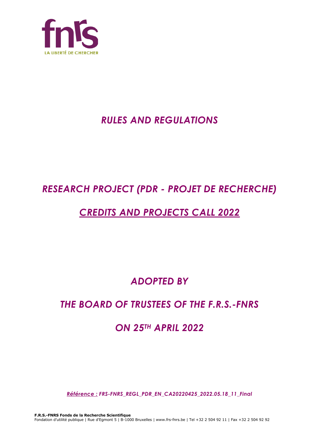

# *RULES AND REGULATIONS*

# *RESEARCH PROJECT (PDR - PROJET DE RECHERCHE)*

# *CREDITS AND PROJECTS CALL 2022*

*ADOPTED BY*

# *THE BOARD OF TRUSTEES OF THE F.R.S.-FNRS*

# *ON 25TH APRIL 2022*

*Référence : FRS-FNRS\_REGL\_PDR\_EN\_CA20220425\_2022.05.18\_11\_Final*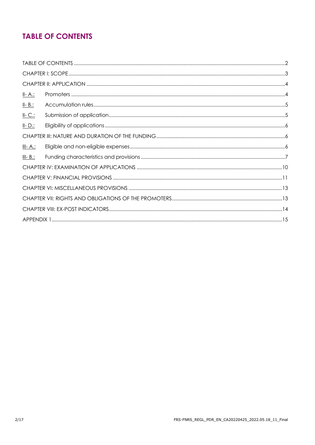# **TABLE OF CONTENTS**

| <u>II-A.:</u>   |  |
|-----------------|--|
| $II - B$ .:     |  |
| $II-C.$         |  |
| $II - D$ .:     |  |
|                 |  |
| <u>III- A.:</u> |  |
| $III - B$ .:    |  |
|                 |  |
|                 |  |
|                 |  |
|                 |  |
|                 |  |
|                 |  |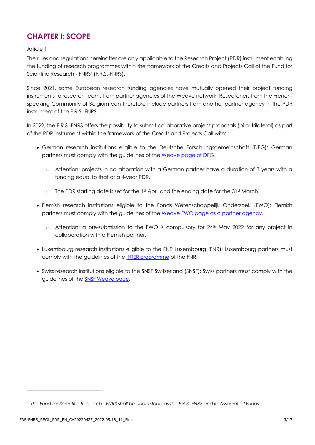# **CHAPTER I: SCOPE**

### Article 1

The rules and regulations hereinafter are only applicable to the Research Project (PDR) instrument enabling the funding of research programmes within the framework of the Credits and Projects Call of the Fund for Scientific Research - FNRS<sup>1</sup> (F.R.S.-FNRS).

Since 2021, some European research funding agencies have mutually opened their project funding instruments to research teams from partner agencies of the Weave network. Researchers from the Frenchspeaking Community of Belgium can therefore include partners from another partner agency in the PDR instrument of the F.R.S.-FNRS.

In 2022, the F.R.S.-FNRS offers the possibility to submit collaborative project proposals (bi or trilateral) as part of the PDR instrument within the framework of the Credits and Projects Call with:

- German research institutions eligible to the Deutsche Forschungsgemeinschaft (DFG): German partners must comply with the guidelines of th[e Weave page of DFG.](https://www.dfg.de/en/research_funding/programmes/international_cooperation/joint_proposal_weave_process/index.html)
	- o Attention: projects in collaboration with a German partner have a duration of 3 years with a funding equal to that of a 4-year PDR.
	- $\circ$  The PDR starting date is set for the 1st April and the ending date for the 31st March.
- Flemish research institutions eligible to the Fonds Wetenschappelijk Onderzoek (FWO): Flemish partners must comply with the guidelines of th[e Weave FWO page as a partner agency.](https://www.fwo.be/en/fellowships-funding/international-collaboration/intra-european-research-projects/weave/weave-fwo-partner)
	- $\circ$  Attention: a pre-submission to the FWO is compulsory for 24<sup>th</sup> May 2022 for any project in collaboration with a Flemish partner.
- Luxembourg research institutions eligible to the FNR Luxembourg (FNR): Luxembourg partners must comply with the guidelines of the [INTER programme](https://www.fnr.lu/funding-instruments/inter/) of the FNR.
- Swiss research institutions eligible to the SNSF Switzerland (SNSF): Swiss partners must comply with the guidelines of the **[SNSF Weave page](http://www.snf.ch/fr/encouragement/projets/weave-lead-agency/weave/Pages/default.aspx).**

<sup>1</sup> *The Fund for Scientific Research - FNRS shall be understood as the F.R.S.-FNRS and its Associated Funds.*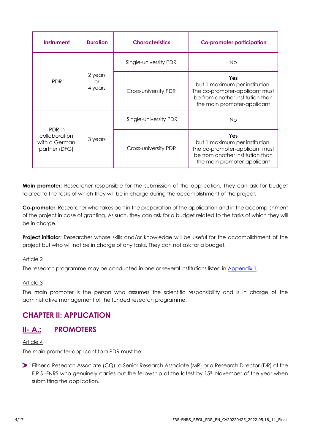| <b>Instrument</b>                                         | <b>Duration</b>          | <b>Characteristics</b> | Co-promoter participation                                                                                                                  |
|-----------------------------------------------------------|--------------------------|------------------------|--------------------------------------------------------------------------------------------------------------------------------------------|
|                                                           | 2 years<br>or<br>4 years | Single-university PDR  | No.                                                                                                                                        |
| <b>PDR</b>                                                |                          | Cross-university PDR   | Yes<br>but 1 maximum per institution.<br>The co-promoter-applicant must<br>be from another institution than<br>the main promoter-applicant |
|                                                           | 3 years                  | Single-university PDR  | Νo                                                                                                                                         |
| PDR in<br>collaboration<br>with a German<br>partner (DFG) |                          | Cross-university PDR   | Yes<br>but 1 maximum per institution.<br>The co-promoter-applicant must<br>be from another institution than<br>the main promoter-applicant |

**Main promoter:** Researcher responsible for the submission of the application. They can ask for budget related to the tasks of which they will be in charge during the accomplishment of the project.

**Co-promoter:** Researcher who takes part in the preparation of the application and in the accomplishment of the project in case of granting. As such, they can ask for a budget related to the tasks of which they will be in charge.

**Project initiator:** Researcher whose skills and/or knowledge will be useful for the accomplishment of the project but who will not be in charge of any tasks. They can not ask for a budget.

### Article 2

The research programme may be conducted in one or several institutions listed in [Appendix](#page-14-0) 1.

### Article 3

The main promoter is the person who assumes the scientific responsibility and is in charge of the administrative management of the funded research programme.

# **CHAPTER II: APPLICATION**

## **II- A.: PROMOTERS**

### Article 4

The main promoter-applicant to a PDR must be:

Either a Research Associate (CQ), a Senior Research Associate (MR) or a Research Director (DR) of the F.R.S.-FNRS who genuinely carries out the fellowship at the latest by 15<sup>th</sup> November of the year when submitting the application.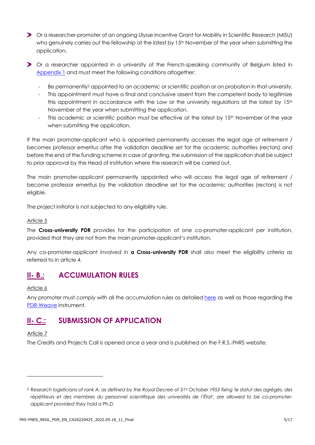- Or a researcher-promoter of an ongoing Ulysse Incentive Grant for Mobility in Scientific Research (MISU) who genuinely carries out the fellowship at the latest by 15<sup>th</sup> November of the year when submitting the application.
- Or a researcher appointed in a university of the French-speaking community of Belgium listed in [Appendix 1](#page-14-0) and must meet the following conditions altogether:
	- Be permanently<sup>2</sup> appointed to an academic or scientific position or on probation in that university.
	- This appointment must have a final and conclusive assent from the competent body to legitimize this appointment in accordance with the Law or the university regulations at the latest by 15<sup>th</sup> November of the year when submitting the application.
	- This academic or scientific position must be effective at the latest by 15<sup>th</sup> November of the year when submitting the application.

If the main promoter-applicant who is appointed permanently accesses the legal age of retirement / becomes professor emeritus after the validation deadline set for the academic authorities (rectors) and before the end of the funding scheme in case of granting, the submission of the application shall be subject to prior approval by the Head of institution where the research will be carried out.

The main promoter-applicant permanently appointed who will access the legal age of retirement / become professor emeritus by the validation deadline set for the academic authorities (rectors) is not eligible.

The project initiator is not subjected to any eligibility rule.

#### Article 5

The **Cross-university PDR** provides for the participation of one co-promoter-applicant per institution, provided that they are not from the main promoter-applicant's institution.

Any co-promoter-applicant involved in **a Cross-university PDR** shall also meet the eligibility criteria as referred to in article 4.

# **II- B.: ACCUMULATION RULES**

#### Article 6

Any promoter must comply with all the accumulation rules as detaile[d here](https://www.frs-fnrs.be/docs/Reglement-et-documents/Regles-cumul.pdf) as well as those regarding the [PDR-Weave](https://www.frs-fnrs.be/docs/Reglement-et-documents/FRS-FNRS_REGL_PDR-Weave_FR.pdf) instrument.

## **II- C.: SUBMISSION OF APPLICATION**

#### Article 7

The Credits and Projects Call is opened once a year and is published on the F.R.S.-FNRS website.

<sup>2</sup> *Research logisticians of rank A, as defined by the Royal Decree of 31st October 1953 fixing 'le statut des agrégés, des répétiteurs et des membres du personnel scientifique des universités de l'État', are allowed to be co-promoterapplicant provided they hold a Ph.D.*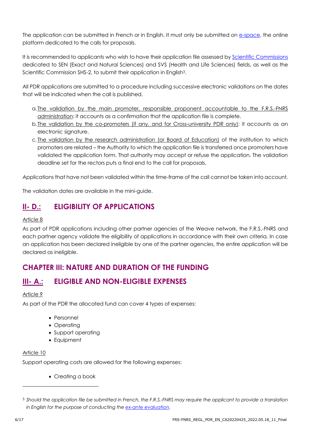The application can be submitted in French or in English. It must only be submitted on [e-space,](https://e-space.frs-fnrs.be/) the online platform dedicated to the calls for proposals.

It is recommended to applicants who wish to have their application file assessed by [Scientific Commissions](https://www.frs-fnrs.be/docs/Reglement-et-documents/FRS-FNRS_Champs_descripteurs.pdf) dedicated to SEN (Exact and Natural Sciences) and SVS (Health and Life Sciences) fields, as well as the Scientific Commission SHS-2, to submit their application in English<sup>3</sup>.

All PDR applications are submitted to a procedure including successive electronic validations on the dates that will be indicated when the call is published.

- a.The validation by the main promoter, responsible proponent accountable to the F.R.S.-FNRS administration: it accounts as a confirmation that the application file is complete.
- b.The validation by the co-promoters (if any, and for Cross-university PDR only): it accounts as an electronic signature.
- c. The validation by the research administration (or Board of Education) of the institution to which promoters are related – the Authority to which the application file is transferred once promoters have validated the application form. That authority may accept or refuse the application. The validation deadline set for the rectors puts a final end to the call for proposals.

Applications that have not been validated within the time-frame of the call cannot be taken into account.

The validation dates are available in the mini-guide.

# **II- D.: ELIGIBILITY OF APPLICATIONS**

### Article 8

As part of PDR applications including other partner agencies of the Weave network, the F.R.S.-FNRS and each partner agency validate the eligibility of applications in accordance with their own criteria. In case an application has been declared ineligible by one of the partner agencies, the entire application will be declared as ineligible.

# **CHAPTER III: NATURE AND DURATION OF THE FUNDING**

# **III- A.: ELIGIBLE AND NON-ELIGIBLE EXPENSES**

## Article 9

As part of the PDR the allocated fund can cover 4 types of expenses:

- Personnel
- Operating
- Support operating
- Equipment

## Article 10

Support operating costs are allowed for the following expenses:

• Creating a book

<sup>3</sup> *Should the application file be submitted in French, the F.R.S.-FNRS may require the applicant to provide a translation in English for the purpose of conducting the [ex-ante evaluation.](https://www.frs-fnrs.be/docs/Reglement-et-documents/FRS-FNRS_Guide_Evaluation_EN.pdf)*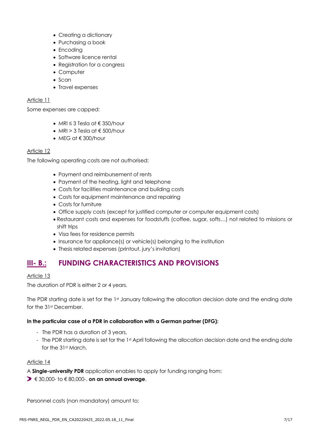- Creating a dictionary
- Purchasing a book
- Encoding
- Software licence rental
- Registration for a congress
- Computer
- Scan
- Travel expenses

#### Article 11

Some expenses are capped:

- MRI ≤ 3 Tesla at € 350/hour
- MRI > 3 Tesla at  $\epsilon$  500/hour
- MEG at € 300/hour

#### Article 12

The following operating costs are not authorised:

- Payment and reimbursement of rents
- Payment of the heating, light and telephone
- Costs for facilities maintenance and building costs
- Costs for equipment maintenance and repairing
- Costs for furniture
- Office supply costs (except for justified computer or computer equipment costs)
- Restaurant costs and expenses for foodstuffs (coffee, sugar, softs…) not related to missions or shift trips
- Visa fees for residence permits
- Insurance for appliance(s) or vehicle(s) belonging to the institution
- Thesis related expenses (printout, jury's invitation)

# **III- B.: FUNDING CHARACTERISTICS AND PROVISIONS**

### Article 13

The duration of PDR is either 2 or 4 years.

The PDR starting date is set for the 1st January following the allocation decision date and the ending date for the 31st December.

### **In the particular case of a PDR in collaboration with a German partner (DFG):**

- The PDR has a duration of 3 years,
- The PDR starting date is set for the 1st April following the allocation decision date and the ending date for the 31st March.

### Article 14

A **Single-university PDR** application enables to apply for funding ranging from:

€ 30,000- to € 80,000-, **on an annual average**.

Personnel costs (non mandatory) amount to: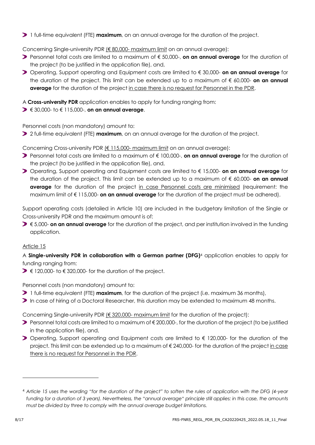1 full-time equivalent (FTE) **maximum**, on an annual average for the duration of the project.

Concerning Single-university PDR (€ 80,000- maximum limit on an annual average):

- **Personnel total costs are limited to a maximum of € 50,000-, <b>on an annual average** for the duration of the project (to be justified in the application file), and,
- Operating, Support operating and Equipment costs are limited to € 30,000- **on an annual average** for the duration of the project. This limit can be extended up to a maximum of € 60,000- **on an annual average** for the duration of the project in case there is no request for Personnel in the PDR.

A **Cross-university PDR** application enables to apply for funding ranging from:

€ 30,000- to € 115,000-, **on an annual average**.

Personnel costs (non mandatory) amount to:

2 full-time equivalent (FTE) **maximum**, on an annual average for the duration of the project.

Concerning Cross-university PDR (€ 115,000- maximum limit on an annual average):

- **Personnel total costs are limited to a maximum of € 100,000-, <b>on an annual average** for the duration of the project (to be justified in the application file), and,
- Operating, Support operating and Equipment costs are limited to € 15,000- **on an annual average** for the duration of the project. This limit can be extended up to a maximum of € 60,000- **on an annual average** for the duration of the project in case Personnel costs are minimised (requirement: the maximum limit of € 115,000- **on an annual average** for the duration of the project must be adhered).

Support operating costs (detailed in Article 10) are included in the budgetary limitation of the Single or Cross-university PDR and the maximum amount is of:

€ 5,000- **on an annual average** for the duration of the project, and per institution involved in the funding application.

### Article 15

A **Single-university PDR in collaboration with a German partner (DFG)**<sup>4</sup> application enables to apply for funding ranging from:

 $\triangleright$   $\in$  120,000- to  $\in$  320,000- for the duration of the project.

Personnel costs (non mandatory) amount to:

- 1 full-time equivalent (FTE) **maximum**, for the duration of the project (i.e. maximum 36 months),
- In case of hiring of a Doctoral Researcher, this duration may be extended to maximum 48 months.

Concerning Single-university PDR (€ 320,000- maximum limit for the duration of the project):

- Personnel total costs are limited to a maximum of € 200,000-, for the duration of the project (to be justified in the application file), and,
- > Operating, Support operating and Equipment costs are limited to € 120,000- for the duration of the project. This limit can be extended up to a maximum of €240,000- for the duration of the project in case there is no request for Personnel in the PDR.

<sup>4</sup> *Article 15 uses the wording "for the duration of the project" to soften the rules of application with the DFG (4-year funding for a duration of 3 years). Nevertheless, the "annual average" principle still applies: in this case, the amounts must be divided by three to comply with the annual average budget limitations.*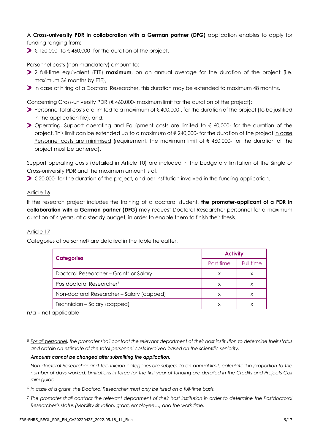A **Cross-university PDR in collaboration with a German partner (DFG)** application enables to apply for funding ranging from:

 $\triangleright$   $\in$  120,000- to  $\in$  460,000- for the duration of the project.

Personnel costs (non mandatory) amount to:

- 2 full-time equivalent (FTE) **maximum**, on an annual average for the duration of the project (i.e. maximum 36 months by FTE),
- **In case of hiring of a Doctoral Researcher, this duration may be extended to maximum 48 months.**

Concerning Cross-university PDR (€ 460,000- maximum limit for the duration of the project):

- Personnel total costs are limited to a maximum of € 400,000-, for the duration of the project (to be justified in the application file), and,
- Operating, Support operating and Equipment costs are limited to € 60,000- for the duration of the project. This limit can be extended up to a maximum of € 240,000- for the duration of the project in case Personnel costs are minimised (requirement: the maximum limit of € 460,000- for the duration of the project must be adhered).

Support operating costs (detailed in Article 10) are included in the budgetary limitation of the Single or Cross-university PDR and the maximum amount is of:

 $\triangleright \epsilon$  20,000- for the duration of the project, and per institution involved in the funding application.

#### Article 16

If the research project includes the training of a doctoral student, **the promoter-applicant of a PDR in collaboration with a German partner (DFG)** may request Doctoral Researcher personnel for a maximum duration of 4 years, at a steady budget, in order to enable them to finish their thesis.

### Article 17

Categories of personnel<sup>5</sup> are detailed in the table hereafter.

| <b>Categories</b>                                  | <b>Activity</b> |           |
|----------------------------------------------------|-----------------|-----------|
|                                                    | Part time       | Full time |
| Doctoral Researcher - Grant <sup>6</sup> or Salary | X               | X         |
| Postdoctoral Researcher <sup>7</sup>               | X               | X         |
| Non-doctoral Researcher - Salary (capped)          | х               | X         |
| Technician - Salary (capped)                       | X               |           |

 $n/a$  = not applicable

#### *Amounts cannot be changed after submitting the application.*

<sup>7</sup> *The promoter shall contact the relevant department of their host institution in order to determine the Postdoctoral Researcher's status (Mobility situation, grant, employee…) and the work time.*

<sup>5</sup> *For all personnel, the promoter shall contact the relevant department of their host institution to determine their status and obtain an estimate of the total personnel costs involved based on the scientific seniority.*

*Non-doctoral Researcher and Technician categories are subject to an annual limit, calculated in proportion to the number of days worked. Limitations in force for the first year of funding are detailed in the Credits and Projects Call mini-guide.*

<sup>6</sup> *In case of a grant, the Doctoral Researcher must only be hired on a full-time basis.*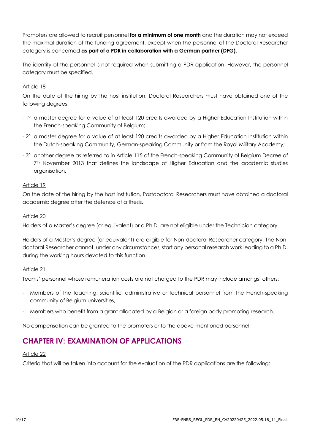Promoters are allowed to recruit personnel **for a minimum of one month** and the duration may not exceed the maximal duration of the funding agreement, except when the personnel of the Doctoral Researcher category is concerned **as part of a PDR in collaboration with a German partner (DFG)**.

The identity of the personnel is not required when submitting a PDR application. However, the personnel category must be specified.

### Article 18

On the date of the hiring by the host institution, Doctoral Researchers must have obtained one of the following degrees:

- 1° a master degree for a value of at least 120 credits awarded by a Higher Education Institution within the French-speaking Community of Belgium;
- 2° a master degree for a value of at least 120 credits awarded by a Higher Education Institution within the Dutch-speaking Community, German-speaking Community or from the Royal Military Academy;
- 3° another degree as referred to in Article 115 of the French-speaking Community of Belgium Decree of 7<sup>th</sup> November 2013 that defines the landscape of Higher Education and the academic studies organisation.

### Article 19

On the date of the hiring by the host institution, Postdoctoral Researchers must have obtained a doctoral academic degree after the defence of a thesis.

### Article 20

Holders of a Master's degree (or equivalent) or a Ph.D. are not eligible under the Technician category.

Holders of a Master's degree (or equivalent) are eligible for Non-doctoral Researcher category. The Nondoctoral Researcher cannot, under any circumstances, start any personal research work leading to a Ph.D. during the working hours devoted to this function.

### Article 21

Teams' personnel whose remuneration costs are not charged to the PDR may include amongst others:

- Members of the teaching, scientific, administrative or technical personnel from the French-speaking community of Belgium universities,
- Members who benefit from a grant allocated by a Belgian or a foreign body promoting research.

No compensation can be granted to the promoters or to the above-mentioned personnel.

# **CHAPTER IV: EXAMINATION OF APPLICATIONS**

### Article 22

Criteria that will be taken into account for the evaluation of the PDR applications are the following: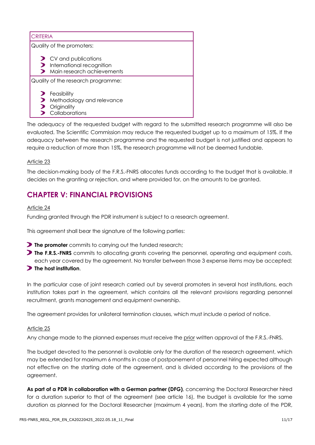|                                    | <b>CRITERIA</b>                                                                                                       |  |  |
|------------------------------------|-----------------------------------------------------------------------------------------------------------------------|--|--|
| Quality of the promoters:          |                                                                                                                       |  |  |
|                                    | $\triangleright$ CV and publications<br>$\blacktriangleright$ International recognition<br>Main research achievements |  |  |
| Quality of the research programme: |                                                                                                                       |  |  |
|                                    | $\blacktriangleright$ Feasibility<br>Methodology and relevance<br>Originality<br>Collaborations                       |  |  |

The adequacy of the requested budget with regard to the submitted research programme will also be evaluated. The Scientific Commission may reduce the requested budget up to a maximum of 15%. If the adequacy between the research programme and the requested budget is not justified and appears to require a reduction of more than 15%, the research programme will not be deemed fundable.

### Article 23

The decision-making body of the F.R.S.-FNRS allocates funds according to the budget that is available. It decides on the granting or rejection, and where provided for, on the amounts to be granted.

# **CHAPTER V: FINANCIAL PROVISIONS**

#### Article 24

Funding granted through the PDR instrument is subject to a research agreement.

This agreement shall bear the signature of the following parties:

- **The promoter** commits to carrying out the funded research;
- **The F.R.S.-FNRS** commits to allocating grants covering the personnel, operating and equipment costs, each year covered by the agreement. No transfer between those 3 expense items may be accepted;
- **The host institution**.

In the particular case of joint research carried out by several promoters in several host institutions, each institution takes part in the agreement, which contains all the relevant provisions regarding personnel recruitment, grants management and equipment ownership.

The agreement provides for unilateral termination clauses, which must include a period of notice.

#### Article 25

Any change made to the planned expenses must receive the prior written approval of the F.R.S.-FNRS.

The budget devoted to the personnel is available only for the duration of the research agreement, which may be extended for maximum 6 months in case of postponement of personnel hiring expected although not effective on the starting date of the agreement, and is divided according to the provisions of the agreement.

**As part of a PDR in collaboration with a German partner (DFG)**, concerning the Doctoral Researcher hired for a duration superior to that of the agreement (see article 16), the budget is available for the same duration as planned for the Doctoral Researcher (maximum 4 years), from the starting date of the PDR,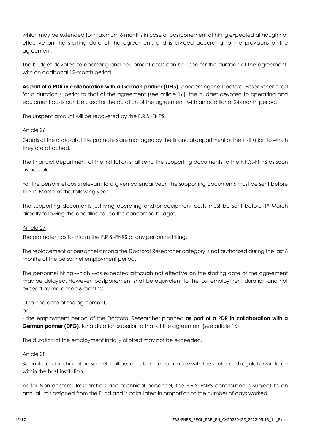which may be extended for maximum 6 months in case of postponement of hiring expected although not effective on the starting date of the agreement, and is divided according to the provisions of the agreement.

The budget devoted to operating and equipment costs can be used for the duration of the agreement, with an additional 12-month period.

**As part of a PDR in collaboration with a German partner (DFG)**, concerning the Doctoral Researcher hired for a duration superior to that of the agreement (see article 16), the budget devoted to operating and equipment costs can be used for the duration of the agreement, with an additional 24-month period.

The unspent amount will be recovered by the F.R.S.-FNRS.

#### Article 26

Grants at the disposal of the promoters are managed by the financial department of the institution to which they are attached.

The financial department of the institution shall send the supporting documents to the F.R.S.-FNRS as soon as possible.

For the personnel costs relevant to a given calendar year, the supporting documents must be sent before the 1st March of the following year.

The supporting documents justifying operating and/or equipment costs must be sent before 1st March directly following the deadline to use the concerned budget.

#### Article 27

The promoter has to inform the F.R.S.-FNRS of any personnel hiring.

The replacement of personnel among the Doctoral Researcher category is not authorised during the last 6 months of the personnel employment period.

The personnel hiring which was expected although not effective on the starting date of the agreement may be delayed. However, postponement shall be equivalent to the lost employment duration and not exceed by more than 6 months:

- the end date of the agreement,

or

- the employment period of the Doctoral Researcher planned **as part of a PDR in collaboration with a German partner (DFG)**, for a duration superior to that of the agreement (see article 16).

The duration of the employment initially allotted may not be exceeded.

#### Article 28

Scientific and technical personnel shall be recruited in accordance with the scales and regulations in force within the host institution.

As for Non-doctoral Researchers and technical personnel, the F.R.S.-FNRS contribution is subject to an annual limit assigned from the Fund and is calculated in proportion to the number of days worked.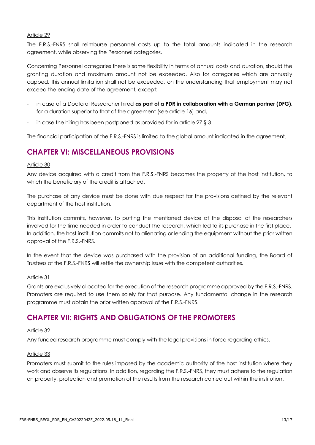#### Article 29

The F.R.S.-FNRS shall reimburse personnel costs up to the total amounts indicated in the research agreement, while observing the Personnel categories.

Concerning Personnel categories there is some flexibility in terms of annual costs and duration, should the granting duration and maximum amount not be exceeded. Also for categories which are annually capped, this annual limitation shall not be exceeded, on the understanding that employment may not exceed the ending date of the agreement, except:

- in case of a Doctoral Researcher hired **as part of a PDR in collaboration with a German partner (DFG)**, for a duration superior to that of the agreement (see article 16) and,
- in case the hiring has been postponed as provided for in article 27  $\S$  3.

The financial participation of the F.R.S.-FNRS is limited to the global amount indicated in the agreement.

# **CHAPTER VI: MISCELLANEOUS PROVISIONS**

#### Article 30

Any device acquired with a credit from the F.R.S.-FNRS becomes the property of the host institution, to which the beneficiary of the credit is attached.

The purchase of any device must be done with due respect for the provisions defined by the relevant department of the host institution.

This institution commits, however, to putting the mentioned device at the disposal of the researchers involved for the time needed in order to conduct the research, which led to its purchase in the first place. In addition, the host institution commits not to alienating or lending the equipment without the prior written approval of the F.R.S.-FNRS.

In the event that the device was purchased with the provision of an additional funding, the Board of Trustees of the F.R.S.-FNRS will settle the ownership issue with the competent authorities.

#### Article 31

Grants are exclusively allocated for the execution of the research programme approved by the F.R.S.-FNRS. Promoters are required to use them solely for that purpose. Any fundamental change in the research programme must obtain the prior written approval of the F.R.S.-FNRS.

# **CHAPTER VII: RIGHTS AND OBLIGATIONS OF THE PROMOTERS**

#### Article 32

Any funded research programme must comply with the legal provisions in force regarding ethics.

#### Article 33

Promoters must submit to the rules imposed by the academic authority of the host institution where they work and observe its regulations. In addition, regarding the F.R.S.-FNRS, they must adhere to the regulation on property, protection and promotion of the results from the research carried out within the institution.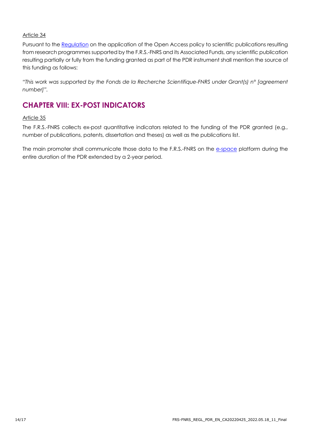### Article 34

Pursuant to the [Regulation](https://www.fnrs.be/docs/Reglement_OPEN_ACCESS_EN.pdf) on the application of the Open Access policy to scientific publications resulting from research programmes supported by the F.R.S.-FNRS and its Associated Funds, any scientific publication resulting partially or fully from the funding granted as part of the PDR instrument shall mention the source of this funding as follows:

*"This work was supported by the Fonds de la Recherche Scientifique-FNRS under Grant(s) n° [agreement number]".*

# **CHAPTER VIII: EX-POST INDICATORS**

### Article 35

The F.R.S.-FNRS collects ex-post quantitative indicators related to the funding of the PDR granted (e.g., number of publications, patents, dissertation and theses) as well as the publications list.

The main promoter shall communicate those data to the F.R.S.-FNRS on the [e-space](https://e-space.frs-fnrs.be/) platform during the entire duration of the PDR extended by a 2-year period.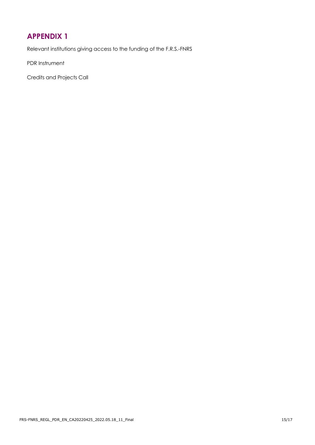# <span id="page-14-0"></span>**APPENDIX 1**

Relevant institutions giving access to the funding of the F.R.S.-FNRS

PDR Instrument

Credits and Projects Call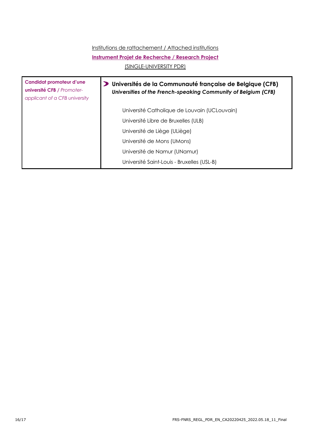## Institutions de rattachement / Attached institutions

#### **Instrument Projet de Recherche / Research Project**

(SINGLE-UNIVERSITY PDR)

| Candidat promoteur d'une<br><b>université CFB / Promoter-</b><br>applicant of a CFB university | Universités de la Communauté française de Belgique (CFB)<br>Universities of the French-speaking Community of Belgium (CFB) |
|------------------------------------------------------------------------------------------------|----------------------------------------------------------------------------------------------------------------------------|
|                                                                                                | Université Catholique de Louvain (UCLouvain)                                                                               |
|                                                                                                | Université Libre de Bruxelles (ULB)                                                                                        |
|                                                                                                | Université de Liège (ULiège)                                                                                               |
|                                                                                                | Université de Mons (UMons)                                                                                                 |
|                                                                                                | Université de Namur (UNamur)                                                                                               |
|                                                                                                | Université Saint-Louis - Bruxelles (USL-B)                                                                                 |